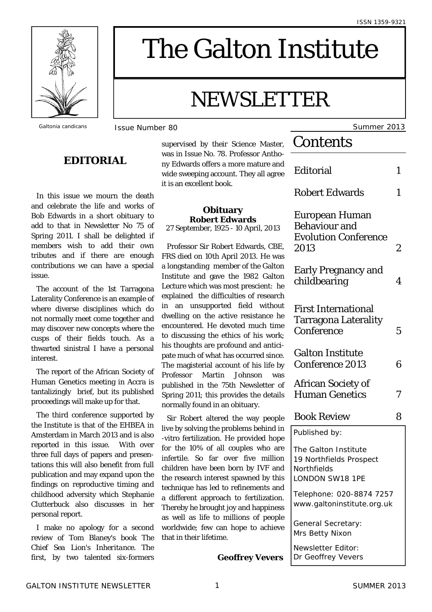

The Galton Institute

# NEWSLETTER

**Galtonia candicans ISSUE Number 80** 

# **EDITORIAL**

In this issue we mourn the death and celebrate the life and works of Bob Edwards in a short obituary to add to that in Newsletter No 75 of Spring 2011. I shall be delighted if members wish to add their own tributes and if there are enough contributions we can have a special issue.

The account of the 1st Tarragona Laterality Conference is an example of where diverse disciplines which do not normally meet come together and may discover new concepts where the cusps of their fields touch. As a thwarted sinistral I have a personal interest.

The report of the African Society of Human Genetics meeting in Accra is tantalizingly brief, but its published proceedings will make up for that.

The third conference supported by the Institute is that of the EHBEA in Amsterdam in March 2013 and is also reported in this issue. With over three full days of papers and presentations this will also benefit from full publication and may expand upon the findings on reproductive timing and childhood adversity which Stephanie Clutterbuck also discusses in her personal report.

I make no apology for a second review of Tom Blaney's book *The Chief Sea Lion's Inheritance*. The first, by two talented six-formers

supervised by their Science Master, was in Issue No. 78. Professor Anthony Edwards offers a more mature and wide sweeping account. They all agree it is an excellent book.

# **Obituary Robert Edwards**

27 September, 1925 - 10 April, 2013

Professor Sir Robert Edwards, CBE, FRS died on 10th April 2013. He was a longstanding member of the Galton Institute and gave the 1982 Galton Lecture which was most prescient: he explained the difficulties of research in an unsupported field without dwelling on the active resistance he encountered. He devoted much time to discussing the ethics of his work; his thoughts are profound and anticipate much of what has occurred since. The magisterial account of his life by Professor Martin Johnson was published in the 75th Newsletter of Spring 2011; this provides the details normally found in an obituary.

Sir Robert altered the way people live by solving the problems behind in -vitro fertilization. He provided hope for the 10% of all couples who are infertile. So far over five million children have been born by IVF and the research interest spawned by this technique has led to refinements and a different approach to fertilization. Thereby he brought joy and happiness as well as life to millions of people worldwide; few can hope to achieve that in their lifetime.

**Geoffrey Vevers** 

| Contents |                                                                                      |   |
|----------|--------------------------------------------------------------------------------------|---|
|          | <b>Editorial</b>                                                                     | 1 |
|          | <b>Robert Edwards</b>                                                                | 1 |
|          | <b>European Human</b><br><b>Behaviour and</b><br><b>Evolution Conference</b><br>2013 | 2 |
|          | <b>Early Pregnancy and</b><br>childbearing                                           | 4 |
|          | <b>First International</b><br><b>Tarragona Laterality</b><br>Conference              | 5 |
|          | <b>Galton Institute</b><br><b>Conference 2013</b>                                    | 6 |
|          | <b>African Society of</b><br><b>Human Genetics</b>                                   | 7 |
|          | <b>Book Review</b>                                                                   | 8 |
|          | Published by:                                                                        |   |
|          | The Galton Institute<br>19 Northfields Prospect                                      |   |
|          | Northfields<br>LONDON SW18 1PE                                                       |   |
|          | Telephone: 020-8874 7257<br>www.galtoninstitute.org.uk                               |   |

Newsletter Editor: Dr Geoffrey Vevers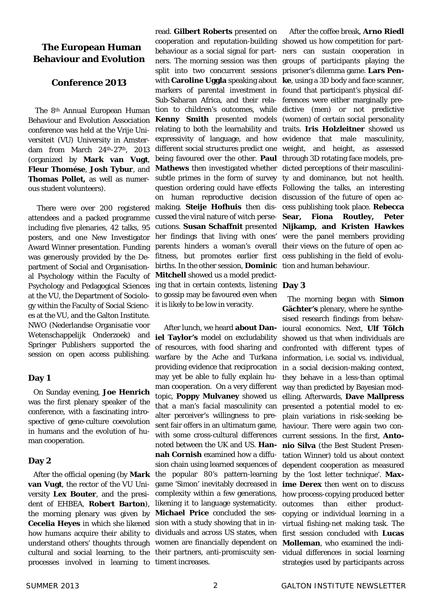# **The European Human Behaviour and Evolution**

# **Conference 2013**

 The 8th Annual European Human Behaviour and Evolution Association conference was held at the Vrije Universiteit (VU) University in Amsterdam from March 24th-27th, 2013 (organized by **Mark van Vugt**, **Fleur Thomése**, **Josh Tybur**, and **Thomas Pollet,** as well as numerous student volunteers).

 There were over 200 registered attendees and a packed programme including five plenaries, 42 talks, 95 posters, and one New Investigator Award Winner presentation. Funding was generously provided by the Department of Social and Organisational Psychology within the Faculty of Psychology and Pedagogical Sciences at the VU, the Department of Sociology within the Faculty of Social Sciences at the VU, and the Galton Institute. NWO (Nederlandse Organisatie voor Wetenschappelijk Onderzoek) and Springer Publishers supported the session on open access publishing.

## **Day 1**

On Sunday evening, **Joe Henrich** was the first plenary speaker of the conference, with a fascinating introspective of gene-culture coevolution in humans and the evolution of human cooperation.

## **Day 2**

After the official opening (by **Mark van Vugt**, the rector of the VU University **Lex Bouter**, and the president of EHBEA, **Robert Barton**), the morning plenary was given by **Cecelia Heyes** in which she likened how humans acquire their ability to understand others' thoughts through cultural and social learning, to the processes involved in learning to timent increases.

read. **Gilbert Roberts** presented on cooperation and reputation-building showed us how competition for partbehaviour as a social signal for partners. The morning session was then split into two concurrent sessions with **Caroline Uggla** speaking about markers of parental investment in Sub-Saharan Africa, and their relation to children's outcomes, while **Kenny Smith** presented models relating to both the learnability and expressivity of language, and how different social structures predict one being favoured over the other. **Paul Mathews** then investigated whether subtle primes in the form of survey question ordering could have effects on human reproductive decision making. **Steije Hofhuis** then discussed the viral nature of witch persecutions. **Susan Schaffnit** presented her findings that living with ones' parents hinders a woman's overall their views on the future of open acfitness, but promotes earlier first cess publishing in the field of evolubirths. In the other session, **Dominic Mitchell** showed us a model predicting that in certain contexts, listening **Day 3**  to gossip may be favoured even when it is likely to be low in veracity.

 After lunch, we heard **about Daniel Taylor's** model on excludability of resources, with food sharing and warfare by the Ache and Turkana providing evidence that reciprocation may yet be able to fully explain human cooperation. On a very different topic, **Poppy Mulvaney** showed us that a man's facial masculinity can alter perceiver's willingness to present fair offers in an ultimatum game, with some cross-cultural differences noted between the UK and US. **Hannah Cornish** examined how a diffusion chain using learned sequences of the popular 80's pattern-learning game 'Simon' inevitably decreased in complexity within a few generations, likening it to language systematicity. **Michael Price** concluded the session with a study showing that in individuals and across US states, when women are financially dependent on their partners, anti-promiscuity sen-

 After the coffee break, **Arno Riedl** ners can sustain cooperation in groups of participants playing the prisoner's dilemma game. **Lars Penke**, using a 3D body and face scanner, found that participant's physical differences were either marginally predictive (men) or not predictive (women) of certain social personality traits. **Iris Holzleitner** showed us evidence that male masculinity, weight, and height, as assessed through 3D rotating face models, predicted perceptions of their masculinity and dominance, but not health. Following the talks, an interesting discussion of the future of open access publishing took place. **Rebecca Sear, Fiona Routley, Peter Nijkamp, and Kristen Hawkes** were the panel members providing tion and human behaviour.

The morning began with **Simon Gächter's** plenary, where he synthesised research findings from behavioural economics. Next, **Ulf Tölch** showed us that when individuals are confronted with different types of information, i.e. social vs. individual, in a social decision-making context, they behave in a less-than optimal way than predicted by Bayesian modelling. Afterwards, **Dave Mallpress** presented a potential model to explain variations in risk-seeking behaviour. There were again two concurrent sessions. In the first, **Antonio Silva** (the Best Student Presentation Winner) told us about context dependent cooperation as measured by the 'lost letter technique'. **Maxime Derex** then went on to discuss how process-copying produced better outcomes than either productcopying or individual learning in a virtual fishing-net making task. The first session concluded with **Lucas Molleman**, who examined the individual differences in social learning strategies used by participants across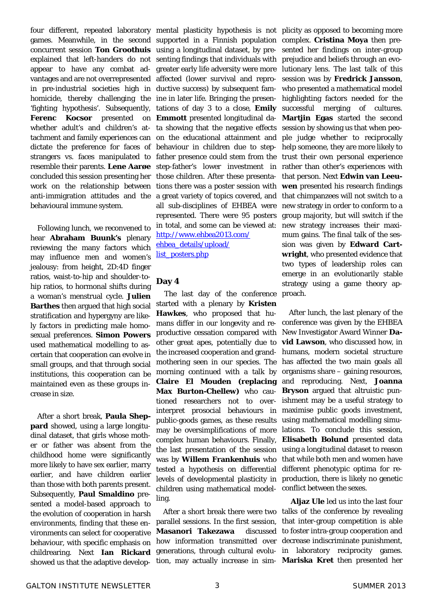games. Meanwhile, in the second supported in a Finnish population complex. **Cristina Moya** then preconcurrent session **Ton Groothuis** explained that left-handers do not appear to have any combat advantages and are not overrepresented in pre-industrial societies high in homicide, thereby challenging the 'fighting hypothesis'. Subsequently, **Ferenc Kocsor** presented on whether adult's and children's attachment and family experiences can dictate the preference for faces of strangers vs. faces manipulated to resemble their parents. **Lene Aarøe**  concluded this session presenting her work on the relationship between anti-immigration attitudes and the behavioural immune system.

 Following lunch, we reconvened to hear **Abraham Buunk's** plenary reviewing the many factors which may influence men and women's jealousy: from height, 2D:4D finger ratios, waist-to-hip and shoulder-tohip ratios, to hormonal shifts during a woman's menstrual cycle. **Julien Barthes** then argued that high social stratification and hypergyny are likely factors in predicting male homosexual preferences. **Simon Powers** used mathematical modelling to ascertain that cooperation can evolve in small groups, and that through social institutions, this cooperation can be maintained even as these groups increase in size.

 After a short break, **Paula Sheppard** showed, using a large longitudinal dataset, that girls whose mother or father was absent from the childhood home were significantly more likely to have sex earlier, marry earlier, and have children earlier than those with both parents present. Subsequently, **Paul Smaldino** presented a model-based approach to the evolution of cooperation in harsh environments, finding that these environments can select for cooperative behaviour, with specific emphasis on childrearing. Next **Ian Rickard**  showed us that the adaptive develop-

using a longitudinal dataset, by presenting findings that individuals with greater early life adversity were more affected (lower survival and reproductive success) by subsequent famine in later life. Bringing the presentations of day 3 to a close, **Emily Emmott** presented longitudinal data showing that the negative effects on the educational attainment and behaviour in children due to stepfather presence could stem from the step-father's lower investment in those children. After these presentations there was a poster session with a great variety of topics covered, and all sub-disciplines of EHBEA were represented. There were 95 posters in total, and some can be viewed at: http://www.ehbea2013.com/ ehbea\_details/upload/ list\_posters.php

**Day 4** 

The last day of the conference started with a plenary by **Kristen Hawkes**, who proposed that humans differ in our longevity and reproductive cessation compared with other great apes, potentially due to the increased cooperation and grandmothering seen in our species. The morning continued with a talk by **Claire El Mouden (replacing Max Burton-Chellew)** who cautioned researchers not to overinterpret prosocial behaviours in public-goods games, as these results may be oversimplifications of more complex human behaviours. Finally, the last presentation of the session was by **Willem Frankenhuis** who tested a hypothesis on differential levels of developmental plasticity in children using mathematical modelling.

parallel sessions. In the first session, **Masanori Takezawa** how information transmitted over decrease indiscriminate punishment, generations, through cultural evolu-in laboratory reciprocity games. tion, may actually increase in sim-**Mariska Kret** then presented her

four different, repeated laboratory mental plasticity hypothesis is not plicity as opposed to becoming more sented her findings on inter-group prejudice and beliefs through an evolutionary lens. The last talk of this session was by **Fredrick Jansson**, who presented a mathematical model highlighting factors needed for the successful merging of cultures. **Martjin Egas** started the second session by showing us that when people judge whether to reciprocally help someone, they are more likely to trust their own personal experience rather than other's experiences with that person. Next **Edwin van Leeuwen** presented his research findings that chimpanzees will not switch to a new strategy in order to conform to a group majority, but will switch if the new strategy increases their maximum gains. The final talk of the session was given by **Edward Cartwright**, who presented evidence that two types of leadership roles can emerge in an evolutionarily stable strategy using a game theory approach.

> After lunch, the last plenary of the conference was given by the EHBEA New Investigator Award Winner **David Lawson**, who discussed how, in humans, modern societal structure has affected the two main goals all organisms share – gaining resources, and reproducing. Next, **Joanna Bryson** argued that altruistic punishment may be a useful strategy to maximise public goods investment, using mathematical modelling simulations. To conclude this session, **Elisabeth Bolund** presented data using a longitudinal dataset to reason that while both men and women have different phenotypic optima for reproduction, there is likely no genetic conflict between the sexes.

 After a short break there were two talks of the conference by revealing  **Aljaz Ule** led us into the last four that inter-group competition is able discussed to foster intra-group cooperation and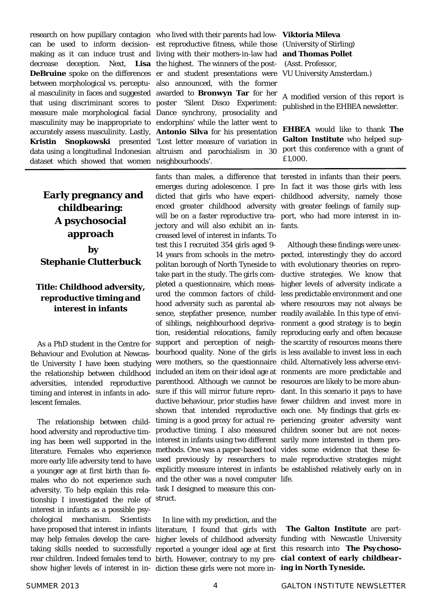research on how pupillary contagion who lived with their parents had lowdecrease deception. Next, **Lisa**  the highest. The winners of the postbetween morphological vs. perceptual masculinity in faces and suggested that using discriminant scores to measure male morphological facial masculinity may be inappropriate to accurately assess masculinity. Lastly, data using a longitudinal Indonesian dataset which showed that women

# **Early pregnancy and childbearing: A psychosocial approach by Stephanie Clutterbuck**

# **Title: Childhood adversity, reproductive timing and interest in infants**

 As a PhD student in the Centre for Behaviour and Evolution at Newcastle University I have been studying the relationship between childhood adversities, intended reproductive timing and interest in infants in adolescent females.

 The relationship between childhood adversity and reproductive timing has been well supported in the literature. Females who experience more early life adversity tend to have a younger age at first birth than feadversity. To help explain this rela-task I designed to measure this contionship I investigated the role of struct. interest in infants as a possible psychological mechanism. Scientists have proposed that interest in infants literature, I found that girls with may help females develop the care-higher levels of childhood adversity funding with Newcastle University taking skills needed to successfully reported a younger ideal age at first this research into *The Psychoso*rear children. Indeed females tend to birth. However, contrary to my pre-*cial context of early childbear-*

can be used to inform decision-est reproductive fitness, while those making as it can induce trust and living with their mothers-in-law had **and Thomas Pollet DeBruine** spoke on the differences er and student presentations were VU University Amsterdam.) **Kristin Snopkowski** presented 'Lost letter measure of variation in also announced, with the former awarded to **Bronwyn Tar** for her poster 'Silent Disco Experiment: Dance synchrony, prosociality and endorphins' while the latter went to **Antonio Silva** for his presentation altruism and parochialism in 30 neighbourhoods'.

males who do not experience such and the other was a novel computer life. fants than males, a difference that terested in infants than their peers. emerges during adolescence. I pre-In fact it was those girls with less dicted that girls who have experi-childhood adversity, namely those enced greater childhood adversity with greater feelings of family supwill be on a faster reproductive tra-port, who had more interest in injectory and will also exhibit an in-fants. creased level of interest in infants. To test this I recruited 354 girls aged 9- 14 years from schools in the metro-pected, interestingly they do accord politan borough of North Tyneside to with evolutionary theories on reprotake part in the study. The girls com-ductive strategies. We know that pleted a questionnaire, which meas-higher levels of adversity indicate a ured the common factors of child-less predictable environment and one hood adversity such as parental ab-where resources may not always be sence, stepfather presence, number readily available. In this type of enviof siblings, neighbourhood depriva-ronment a good strategy is to begin tion, residential relocations, family reproducing early and often because support and perception of neigh-the scarcity of resources means there bourhood quality. None of the girls is less available to invest less in each were mothers, so the questionnaire child. Alternatively less adverse enviincluded an item on their ideal age at ronments are more predictable and parenthood. Although we cannot be resources are likely to be more abunsure if this will mirror future repro-dant. In this scenario it pays to have ductive behaviour, prior studies have fewer children and invest more in shown that intended reproductive each one. My findings that girls extiming is a good proxy for actual re-periencing greater adversity want productive timing. I also measured children sooner but are not necesinterest in infants using two different sarily more interested in them promethods. One was a paper-based tool vides some evidence that these feused previously by researchers to male reproductive strategies might explicitly measure interest in infants be established relatively early on in

show higher levels of interest in in-diction these girls were not more in-*ing in North Tyneside.*In line with my prediction, and the

**Viktoria Mileva**  (University of Stirling) (Asst. Professor,

A modified version of this report is published in the EHBEA newsletter.

**EHBEA** would like to thank **The Galton Institute** who helped support this conference with a grant of £1,000.

Although these findings were unex-

**The Galton Institute** are part-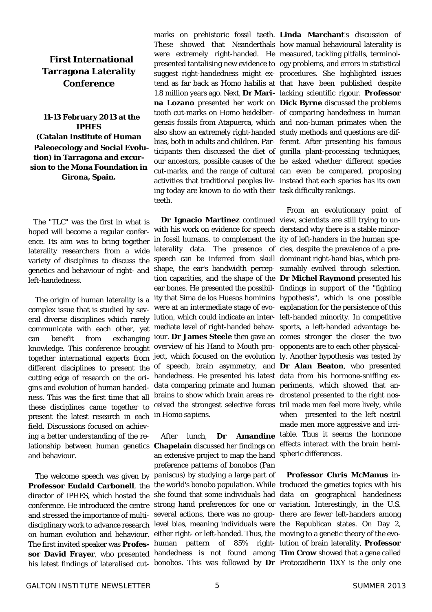# **First International Tarragona Laterality Conference**

**11-13 February 2013 at the IPHES (Catalan Institute of Human Paleoecology and Social Evolution) in Tarragona and excursion to the Mona Foundation in Girona, Spain.** 

The "TLC" was the first in what is hoped will become a regular conference. Its aim was to bring together laterality researchers from a wide variety of disciplines to discuss the genetics and behaviour of right- and left-handedness.

 The origin of human laterality is a complex issue that is studied by several diverse disciplines which rarely communicate with each other, yet can benefit from exchanging knowledge. This conference brought together international experts from different disciplines to present the cutting edge of research on the origins and evolution of human handedness. This was the first time that all these disciplines came together to present the latest research in each field. Discussions focused on achieving a better understanding of the reand behaviour.

marks on prehistoric fossil teeth. **Linda Marchant**'s discussion of were extremely right-handed. He measured, tackling pitfalls, terminolalso show an extremely right-handed study methods and questions are difing today are known to do with their task difficulty rankings. teeth.

**Dr Ignacio Martinez** continued view, scientists are still trying to unwith his work on evidence for speech derstand why there is a stable minorin fossil humans, to complement the ity of left-handers in the human spelaterality data. The presence of cies, despite the prevalence of a prespeech can be inferred from skull dominant right-hand bias, which premediate level of right-handed behav-sports, a left-handed advantage beoverview of his Hand to Mouth pro-opponents are to each other physicalhandedness. He presented his latest data from his hormone-sniffing exdata comparing primate and human periments, which showed that anbrains to show which brain areas re-drostenol presented to the right nosin *Homo sapiens*.

lationship between human genetics **Chapelain** discussed her findings on effects interact with the brain hemi- The welcome speech was given by *paniscus*) by studying a large part of **Professor Eudald Carbonell**, the the world's bonobo population. While troduced the genetics topics with his director of IPHES, which hosted the she found that some individuals had data on geographical handedness conference. He introduced the centre strong hand preferences for one or variation. Interestingly, in the U.S. and stressed the importance of multi-several actions, there was no group-there are fewer left-handers among disciplinary work to advance research level bias, meaning individuals were the Republican states. On Day 2, on human evolution and behaviour. either right- or left-handed. Thus, the moving to a genetic theory of the evo-The first invited speaker was **Profes-**human pattern of 85% right-lution of brain laterality, **Professor sor David Frayer**, who presented handedness is not found among **Tim Crow** showed that a gene called his latest findings of lateralised cut-bonobos. This was followed by **Dr**  Protocadherin 11XY is the only one an extensive project to map the hand spheric differences. preference patterns of bonobos (*Pan* 

These showed that Neanderthals how manual behavioural laterality is presented tantalising new evidence to ogy problems, and errors in statistical suggest right-handedness might ex-procedures. She highlighted issues tend as far back as *Homo habilis* at that have been published despite 1.8 million years ago. Next, **Dr Mari-**lacking scientific rigour. **Professor na Lozano** presented her work on **Dick Byrne** discussed the problems tooth cut-marks on *Homo heidelber-*of comparing handedness in human *gensis* fossils from Atapuerca, which and non-human primates when the bias, both in adults and children. Par-ferent. After presenting his famous ticipants then discussed the diet of gorilla plant-processing techniques, our ancestors, possible causes of the he asked whether different species cut-marks, and the range of cultural can even be compared, proposing activities that traditional peoples liv-instead that each species has its own

shape, the ear's bandwidth percep-sumably evolved through selection. tion capacities, and the shape of the **Dr Michel Raymond** presented his ear bones. He presented the possibil-findings in support of the "fighting ity that Sima de los Huesos hominins hypothesis", which is one possible were at an intermediate stage of evo-explanation for the persistence of this lution, which could indicate an inter-left-handed minority. In competitive iour. **Dr James Steele** then gave an comes stronger the closer the two ject, which focused on the evolution ly. Another hypothesis was tested by of speech, brain asymmetry, and **Dr Alan Beaton**, who presented ceived the strongest selective forces tril made men feel more lively, while After lunch, **Dr Amandine** table. Thus it seems the hormone From an evolutionary point of when presented to the left nostril made men more aggressive and irri-

**Professor Chris McManus** in-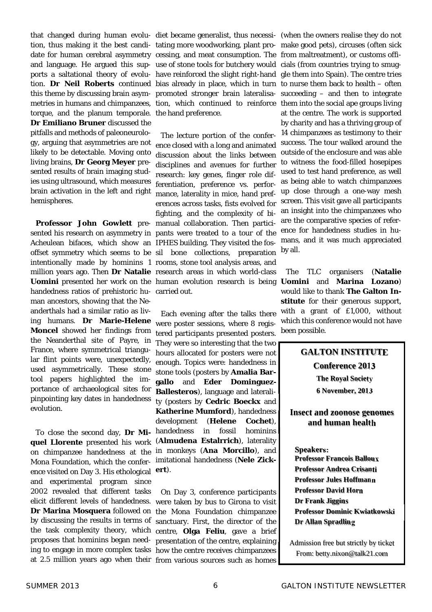date for human cerebral asymmetry cessing, and meat consumption. The from maltreatment), or customs offiand language. He argued this sup- use of stone tools for butchery would cials (from countries trying to smugtorque, and the planum temporale. the hand preference. **Dr Emiliano Bruner** discussed the pitfalls and methods of paleoneurology, arguing that asymmetries are not likely to be detectable. Moving onto living brains, **Dr Georg Meyer** presented results of brain imaging studies using ultrasound, which measures brain activation in the left and right hemispheres.

Acheulean bifaces, which show an IPHES building. They visited the foshandedness ratios of prehistoric hu-carried out. man ancestors, showing that the Neanderthals had a similar ratio as living humans. **Dr Marie-Helene Moncel** showed her findings from the Neanderthal site of Payre, in France, where symmetrical triangular flint points were, unexpectedly, used asymmetrically. These stone tool papers highlighted the importance of archaeological sites for pinpointing key dates in handedness evolution.

To close the second day, **Dr Miquel Llorente** presented his work on chimpanzee handedness at the Mona Foundation, which the conference visited on Day 3. His ethological **ert**). and experimental program since 2002 revealed that different tasks elicit different levels of handedness. **Dr Marina Mosquera** followed on by discussing the results in terms of the task complexity theory, which centre, **Olga Feliu**, gave a brief proposes that hominins began needing to engage in more complex tasks how the centre receives chimpanzees

**Professor John Gowlett** pre-manual collaboration. Then particisented his research on asymmetry in pants were treated to a tour of the offset symmetry which seems to be sil bone collections, preparation intentionally made by hominins 1 rooms, stone tool analysis areas, and million years ago. Then **Dr Natalie**  research areas in which world-class **Uomini** presented her work on the human evolution research is being The lecture portion of the conference closed with a long and animated discussion about the links between disciplines and avenues for further research: key genes, finger role differentiation, preference vs. performance, laterality in mice, hand preferences across tasks, fists evolved for fighting, and the complexity of bi-

> Each evening after the talks there were poster sessions, where 8 registered participants presented posters. They were so interesting that the two hours allocated for posters were not enough. Topics were: handedness in stone tools (posters by **Amalia Bargallo** and **Eder Dominguez-Ballesteros**), language and laterality (posters by **Cedric Boeckx** and **Katherine Mumford**), handedness development (**Helene Cochet**), handedness in fossil hominins (**Almudena Estalrrich**), laterality in monkeys (**Ana Morcillo**), and imitational handedness (**Nele Zick-**

at 2.5 million years ago when their from various sources such as homes On Day 3, conference participants were taken by bus to Girona to visit the Mona Foundation chimpanzee sanctuary. First, the director of the presentation of the centre, explaining

that changed during human evolu-diet became generalist, thus necessi-(when the owners realise they do not tion, thus making it the best candi-tating more woodworking, plant pro-make good pets), circuses (often sick ports a saltational theory of evolu-have reinforced the slight right-hand gle them into Spain). The centre tries tion. **Dr Neil Roberts** continued bias already in place, which in turn to nurse them back to health – often this theme by discussing brain asym-promoted stronger brain lateralisa-succeeding – and then to integrate metries in humans and chimpanzees, tion, which continued to reinforce them into the social ape groups living at the centre. The work is supported by charity and has a thriving group of 14 chimpanzees as testimony to their success. The tour walked around the outside of the enclosure and was able to witness the food-filled hosepipes used to test hand preference, as well as being able to watch chimpanzees up close through a one-way mesh screen. This visit gave all participants an insight into the chimpanzees who are the comparative species of reference for handedness studies in humans, and it was much appreciated by all.

> The TLC organisers (**Natalie Uomini** and **Marina Lozano**) would like to thank **The Galton In**stitute for their generous support, with a grant of £1,000, without which this conference would not have been possible.

# **GALTON INSTITUTE Conference 2013 The Royal Society 6 November, 2013 Insect and zoonose genomes and human health Speakers: Professor Francois Balloux Professor Andrea Crisanti Professor Jules Hoffmann Professor David Horn Dr Frank Jiggins Professor Dominic Kwiatkowski Dr Allan Spradling**

Admission free but strictly by ticket From: betty.nixon@talk21.com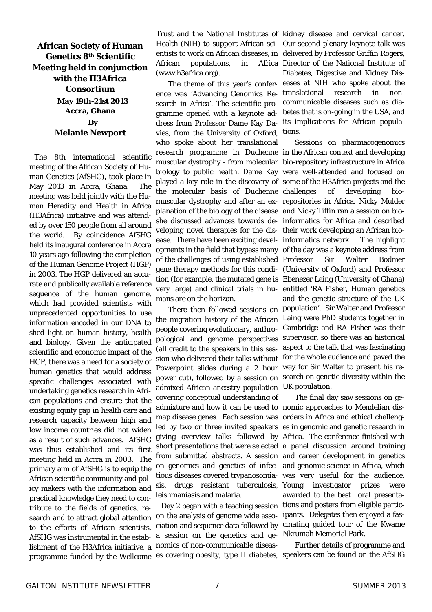# **African Society of Human Genetics 8th Scientific Meeting held in conjunction with the H3Africa Consortium May 19th-21st 2013 Accra, Ghana By Melanie Newport**

The 8th international scientific meeting of the African Society of Human Genetics (AfSHG), took place in May 2013 in Accra, Ghana. The meeting was held jointly with the Human Heredity and Health in Africa (H3Africa) initiative and was attended by over 150 people from all around the world. By coincidence AfSHG held its inaugural conference in Accra 10 years ago following the completion of the Human Genome Project (HGP) in 2003. The HGP delivered an accurate and publically available reference sequence of the human genome, which had provided scientists with unprecedented opportunities to use information encoded in our DNA to shed light on human history, health and biology. Given the anticipated scientific and economic impact of the HGP, there was a need for a society of human genetics that would address specific challenges associated with undertaking genetics research in African populations and ensure that the existing equity gap in health care and research capacity between high and low income countries did not widen as a result of such advances. AfSHG was thus established and its first meeting held in Accra in 2003. The primary aim of AfSHG is to equip the African scientific community and policy makers with the information and practical knowledge they need to contribute to the fields of genetics, research and to attract global attention to the efforts of African scientists. AfSHG was instrumental in the establishment of the H3Africa initiative, a programme funded by the Wellcome

Trust and the National Institutes of kidney disease and cervical cancer. African populations, in (www.h3africa.org).

ence was 'Advancing Genomics Research in Africa'. The scientific programme opened with a keynote address from Professor Dame Kay Davies, from the University of Oxford, tions. who spoke about her translational research programme in Duchenne in the African context and developing muscular dystrophy - from molecular bio-repository infrastructure in Africa biology to public health. Dame Kay were well-attended and focused on played a key role in the discovery of some of the H3Africa projects and the the molecular basis of Duchenne muscular dystrophy and after an ex-repositories in Africa. Nicky Mulder planation of the biology of the disease and Nicky Tiffin ran a session on bioshe discussed advances towards de-informatics for Africa and described veloping novel therapies for the dis-their work developing an African bioease. There have been exciting devel-informatics network. The highlight opments in the field that bypass many of the day was a keynote address from of the challenges of using established Professor Sir Walter Bodmer gene therapy methods for this condi-(University of Oxford) and Professor tion (for example, the mutated gene is Ebenezer Laing (University of Ghana) very large) and clinical trials in hu-entitled 'RA Fisher, Human genetics mans are on the horizon.

 There then followed sessions on the migration history of the African people covering evolutionary, anthropological and genome perspectives (all credit to the speakers in this session who delivered their talks without Powerpoint slides during a 2 hour power cut), followed by a session on admixed African ancestry population covering conceptual understanding of admixture and how it can be used to nomic approaches to Mendelian dismap disease genes. Each session was orders in Africa and ethical challengled by two or three invited speakers es in genomic and genetic research in giving overview talks followed by Africa. The conference finished with short presentations that were selected a panel discussion around training from submitted abstracts. A session and career development in genetics on genomics and genetics of infec-and genomic science in Africa, which tious diseases covered trypanosomia-was very useful for the audience. sis, drugs resistant tuberculosis, Young investigator prizes were leishmaniasis and malaria.

on the analysis of genome wide assoa session on the genetics and genomics of non-communicable diseases covering obesity, type II diabetes, speakers can be found on the AfSHG

Health (NIH) to support African sci-Our second plenary keynote talk was entists to work on African diseases, in delivered by Professor Griffin Rogers, The theme of this year's confer-eases at NIH who spoke about the Africa Director of the National Institute of Diabetes, Digestive and Kidney Distranslational research in noncommunicable diseases such as diabetes that is on-going in the USA, and its implications for African popula-

> Sessions on pharmacogenomics of developing bioand the genetic structure of the UK population'. Sir Walter and Professor Laing were PhD students together in Cambridge and RA Fisher was their supervisor, so there was an historical aspect to the talk that was fascinating for the whole audience and paved the way for Sir Walter to present his research on genetic diversity within the UK population.

Day 2 began with a teaching session tions and posters from eligible particciation and sequence data followed by cinating guided tour of the Kwame The final day saw sessions on geawarded to the best oral presentaipants. Delegates then enjoyed a fas-Nkrumah Memorial Park.

Further details of programme and